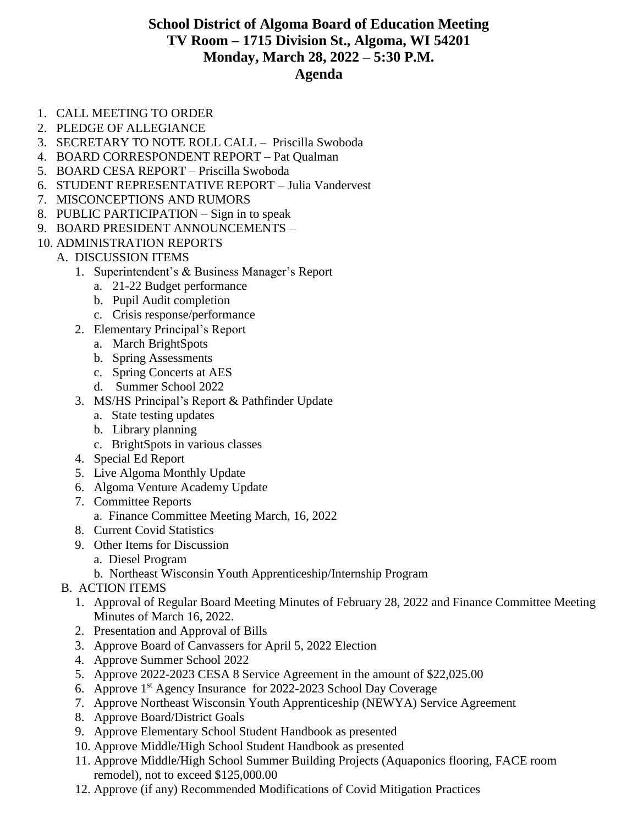## **School District of Algoma Board of Education Meeting TV Room – 1715 Division St., Algoma, WI 54201 Monday, March 28, 2022 – 5:30 P.M. Agenda**

- 1. CALL MEETING TO ORDER
- 2. PLEDGE OF ALLEGIANCE
- 3. SECRETARY TO NOTE ROLL CALL Priscilla Swoboda
- 4. BOARD CORRESPONDENT REPORT Pat Qualman
- 5. BOARD CESA REPORT Priscilla Swoboda
- 6. STUDENT REPRESENTATIVE REPORT Julia Vandervest
- 7. MISCONCEPTIONS AND RUMORS
- 8. PUBLIC PARTICIPATION Sign in to speak
- 9. BOARD PRESIDENT ANNOUNCEMENTS –
- 10. ADMINISTRATION REPORTS
	- A. DISCUSSION ITEMS
		- 1. Superintendent's & Business Manager's Report
			- a. 21-22 Budget performance
			- b. Pupil Audit completion
			- c. Crisis response/performance
		- 2. Elementary Principal's Report
			- a. March BrightSpots
			- b. Spring Assessments
			- c. Spring Concerts at AES
			- d. Summer School 2022
		- 3. MS/HS Principal's Report & Pathfinder Update
			- a. State testing updates
			- b. Library planning
			- c. BrightSpots in various classes
		- 4. Special Ed Report
		- 5. Live Algoma Monthly Update
		- 6. Algoma Venture Academy Update
		- 7. Committee Reports
			- a. Finance Committee Meeting March, 16, 2022
		- 8. Current Covid Statistics
		- 9. Other Items for Discussion
			- a. Diesel Program
			- b. Northeast Wisconsin Youth Apprenticeship/Internship Program
		- B. ACTION ITEMS
			- 1. Approval of Regular Board Meeting Minutes of February 28, 2022 and Finance Committee Meeting Minutes of March 16, 2022.
			- 2. Presentation and Approval of Bills
			- 3. Approve Board of Canvassers for April 5, 2022 Election
			- 4. Approve Summer School 2022
			- 5. Approve 2022-2023 CESA 8 Service Agreement in the amount of \$22,025.00
			- 6. Approve 1st Agency Insurance for 2022-2023 School Day Coverage
			- 7. Approve Northeast Wisconsin Youth Apprenticeship (NEWYA) Service Agreement
			- 8. Approve Board/District Goals
			- 9. Approve Elementary School Student Handbook as presented
			- 10. Approve Middle/High School Student Handbook as presented
			- 11. Approve Middle/High School Summer Building Projects (Aquaponics flooring, FACE room remodel), not to exceed \$125,000.00
			- 12. Approve (if any) Recommended Modifications of Covid Mitigation Practices